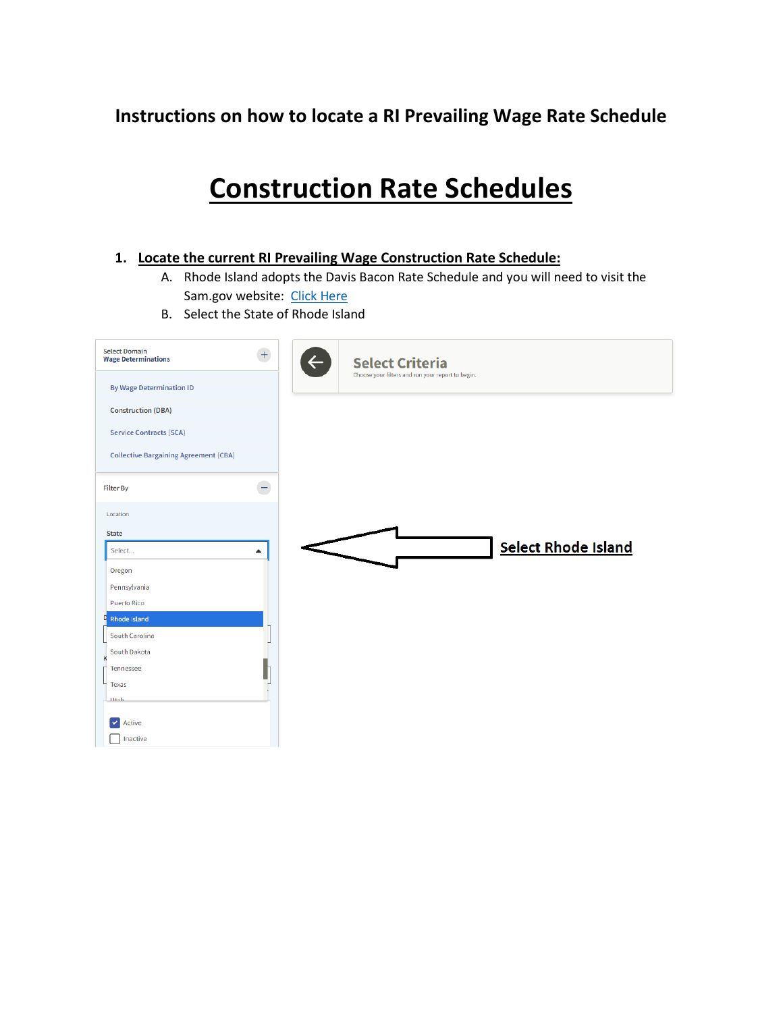### **Instructions on how to locate a RI Prevailing Wage Rate Schedule**

## **Construction Rate Schedules**

### **1. Locate the current RI Prevailing Wage Construction Rate Schedule:**

- A. Rhode Island adopts the Davis Bacon Rate Schedule and you will need to visit the Sam.gov website: [Click Here](https://sam.gov/search/?index=dbra&page=1&pageSize=25&sort=-modifiedDate&sfm%5Bstatus%5D%5Bis_active%5D=true&sfm%5BsimpleSearch%5D%5BkeywordRadio%5D=ALL)
- B. Select the State of Rhode Island

| <b>Select Domain</b><br><b>Wage Determinations</b> | $\overline{+}$ | $\leftarrow$<br><b>Select Criteria</b><br>Choose your filters and run your report to begin. |
|----------------------------------------------------|----------------|---------------------------------------------------------------------------------------------|
| <b>By Wage Determination ID</b>                    |                |                                                                                             |
| <b>Construction (DBA)</b>                          |                |                                                                                             |
| <b>Service Contracts (SCA)</b>                     |                |                                                                                             |
| <b>Collective Bargaining Agreement (CBA)</b>       |                |                                                                                             |
| <b>Filter By</b>                                   | L,             |                                                                                             |
| Location                                           |                |                                                                                             |
| <b>State</b>                                       |                |                                                                                             |
| Select                                             | ▲              | <b>Select Rhode Island</b>                                                                  |
| Oregon                                             |                |                                                                                             |
| Pennsylvania                                       |                |                                                                                             |
| <b>Puerto Rico</b>                                 |                |                                                                                             |
| Rhode Island<br>D                                  |                |                                                                                             |
| South Carolina                                     |                |                                                                                             |
| South Dakota<br>K                                  |                |                                                                                             |
| <b>Tennessee</b>                                   | ſ              |                                                                                             |
| L<br>Texas                                         |                |                                                                                             |
| $\Box$                                             |                |                                                                                             |
| Active                                             |                |                                                                                             |
| Inactive                                           |                |                                                                                             |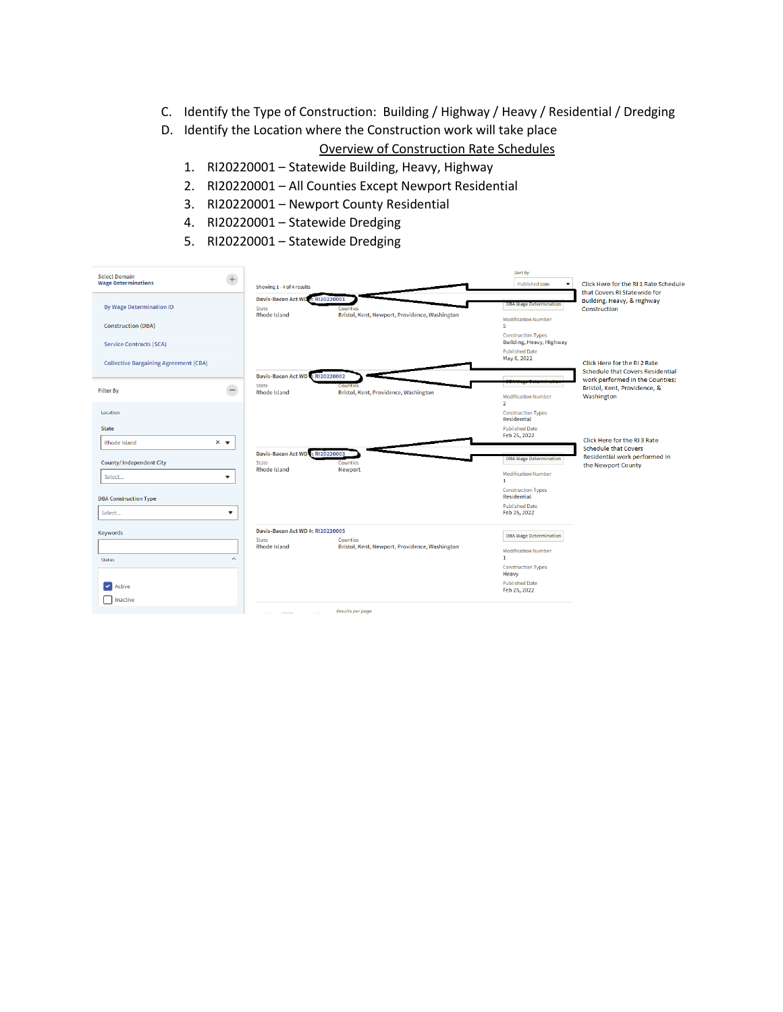- C. Identify the Type of Construction: Building / Highway / Heavy / Residential / Dredging
- D. Identify the Location where the Construction work will take place

Overview of Construction Rate Schedules

- 1. RI20220001 Statewide Building, Heavy, Highway
- 2. RI20220001 All Counties Except Newport Residential
- 3. RI20220001 Newport County Residential
- 4. RI20220001 Statewide Dredging
- 5. RI20220001 Statewide Dredging

| $^{+}$<br><b>Select Domain</b><br><b>Wage Determinations</b> | Showing 1 - 4 of 4 results                                       |                                                            | Sort by<br><b>Published Date</b><br>۰                                          | Click Here for the RI 1 Rate Schedule<br>that Covers RI Statewide for   |
|--------------------------------------------------------------|------------------------------------------------------------------|------------------------------------------------------------|--------------------------------------------------------------------------------|-------------------------------------------------------------------------|
| <b>By Wage Determination ID</b>                              | Davis-Bacon Act WD #: RI20220001<br>State<br><b>Rhode Island</b> | Counties<br>Bristol, Kent, Newport, Providence, Washington | <b>DBA Wage Determination</b>                                                  | Building, Heavy, & Highway<br>Construction                              |
| <b>Construction (DBA)</b>                                    |                                                                  |                                                            | <b>Modification Number</b><br>к                                                |                                                                         |
| <b>Service Contracts (SCA)</b>                               |                                                                  |                                                            | <b>Construction Types</b><br>Building, Heavy, Highway<br><b>Published Date</b> |                                                                         |
| <b>Collective Bargaining Agreement (CBA)</b>                 |                                                                  |                                                            | May 6, 2022                                                                    | Click Here for the RI 2 Rate<br><b>Schedule that Covers Residential</b> |
|                                                              | Davis-Bacon Act WD : RI20220002<br>State                         | Com                                                        |                                                                                | work performed in the Counties;                                         |
| ←<br><b>Filter By</b>                                        | <b>Rhode Island</b>                                              | Bristol, Kent, Providence, Washington                      | <b>Modification Number</b><br>$\overline{2}$                                   | Bristol, Kent, Providence, &<br>Washington                              |
| Location                                                     |                                                                  |                                                            | <b>Construction Types</b><br><b>Residential</b>                                |                                                                         |
| <b>State</b>                                                 |                                                                  |                                                            | <b>Published Date</b><br>Feb 25, 2022                                          |                                                                         |
| $\times$ $\bullet$<br>Rhode Island                           | Davis-Bacon Act WD: RI20220003                                   |                                                            |                                                                                | Click Here for the RI 3 Rate<br><b>Schedule that Covers</b>             |
| <b>County/Independent City</b>                               | <b>State</b><br><b>Rhode Island</b>                              | Counties<br>Newport                                        | <b>DBA Wage Determination</b>                                                  | Residential work performed in<br>the Newport County                     |
| Select<br>$\overline{\phantom{a}}$                           |                                                                  |                                                            | <b>Modification Number</b><br>$\mathbf{1}$                                     |                                                                         |
| <b>DBA Construction Type</b>                                 |                                                                  |                                                            | <b>Construction Types</b><br><b>Residential</b>                                |                                                                         |
| Select<br>$\overline{\phantom{a}}$                           |                                                                  |                                                            | <b>Published Date</b><br>Feb 25, 2022                                          |                                                                         |
| Keywords                                                     | Davis-Bacon Act WD #: RI20220005<br><b>State</b>                 | <b>Counties</b>                                            | <b>DBA Wage Determination</b>                                                  |                                                                         |
|                                                              | <b>Rhode Island</b>                                              | Bristol, Kent, Newport, Providence, Washington             | <b>Modification Number</b><br>п.                                               |                                                                         |
| <b>Status</b>                                                |                                                                  |                                                            | <b>Construction Types</b><br>Heavy                                             |                                                                         |
| Active                                                       |                                                                  |                                                            | <b>Published Date</b><br>Feb 25, 2022                                          |                                                                         |
| Inactive                                                     |                                                                  | Results ner nane                                           |                                                                                |                                                                         |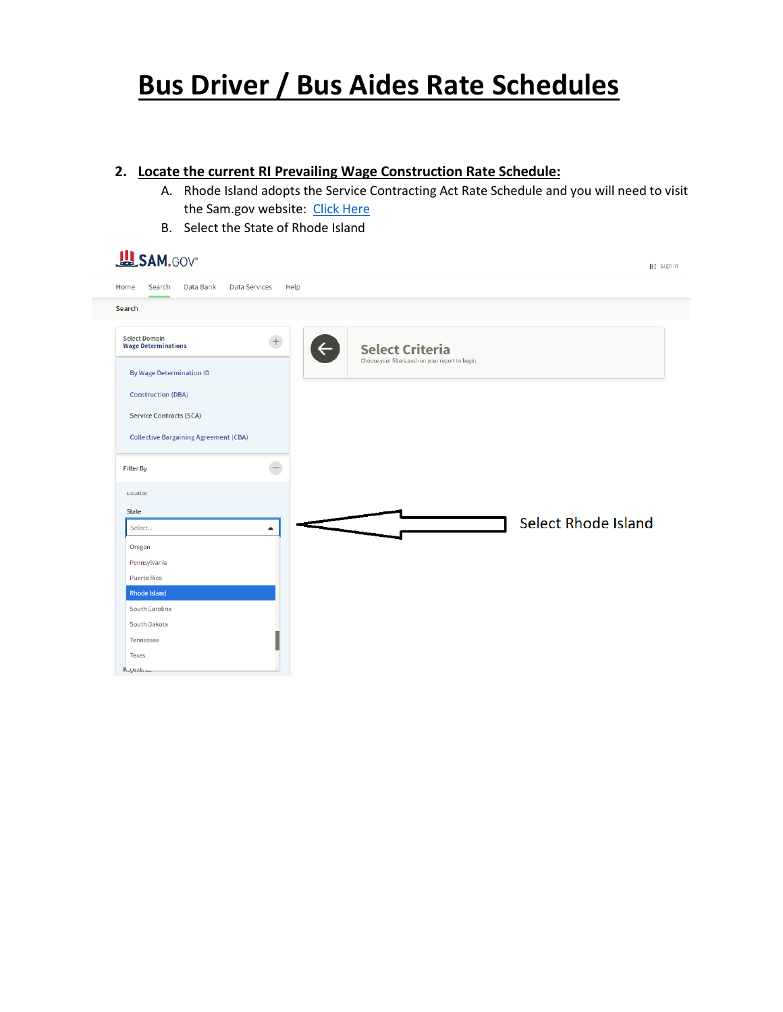# **Bus Driver / Bus Aides Rate Schedules**

### **2. Locate the current RI Prevailing Wage Construction Rate Schedule:**

A. Rhode Island adopts the Service Contracting Act Rate Schedule and you will need to visit the Sam.gov website: [Click Here](https://sam.gov/search/?index=sca&page=1&pageSize=25&sort=-modifiedDate&sfm%5Bstatus%5D%5Bis_active%5D=true&sfm%5BsimpleSearch%5D%5BkeywordRadio%5D=ALL)

 $E$  Sign In

B. Select the State of Rhode Island

| <b>LASAM.GOV®</b> |  |
|-------------------|--|
|-------------------|--|

| Search                                             |                                  |                                                                             |
|----------------------------------------------------|----------------------------------|-----------------------------------------------------------------------------|
| <b>Select Domain</b><br><b>Wage Determinations</b> | $\boldsymbol{+}$<br>$\leftarrow$ | <b>Select Criteria</b><br>Choose your filters and run your report to begin. |
| <b>By Wage Determination ID</b>                    |                                  |                                                                             |
| <b>Construction (DBA)</b>                          |                                  |                                                                             |
| <b>Service Contracts (SCA)</b>                     |                                  |                                                                             |
| <b>Collective Bargaining Agreement (CBA)</b>       |                                  |                                                                             |
|                                                    |                                  |                                                                             |
| <b>Filter By</b>                                   | ۸                                |                                                                             |
| Location                                           |                                  |                                                                             |
| <b>State</b>                                       |                                  |                                                                             |
| Select                                             | $\blacktriangle$                 | <b>Select Rhode Island</b>                                                  |
| Oregon                                             |                                  |                                                                             |
| Pennsylvania                                       |                                  |                                                                             |
| <b>Puerto Rico</b>                                 |                                  |                                                                             |
| <b>Rhode Island</b>                                |                                  |                                                                             |
| South Carolina                                     |                                  |                                                                             |
|                                                    |                                  |                                                                             |
| South Dakota                                       |                                  |                                                                             |